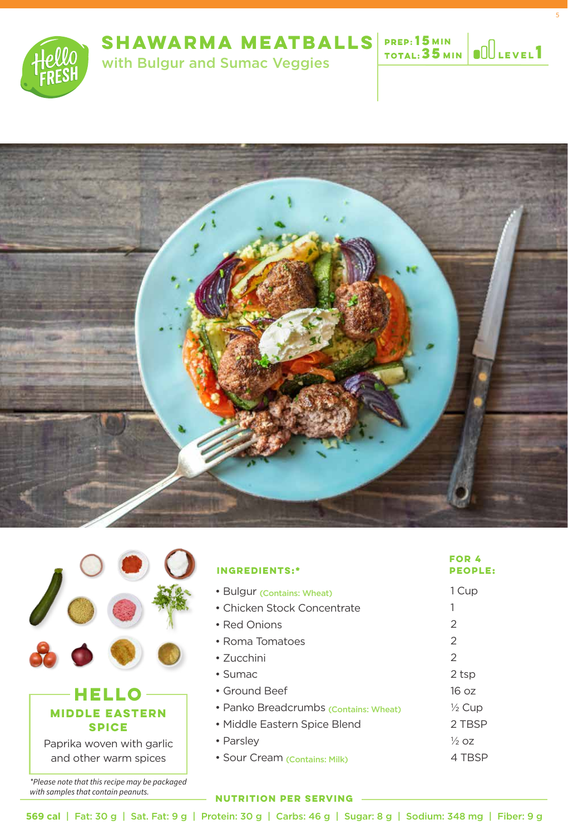

**1 MIN Level**

5

**15**







| <b>INGREDIENTS:*</b>                  | FOR 4<br><b>PEOPLE:</b> |
|---------------------------------------|-------------------------|
| • Bulgur (Contains: Wheat)            | 1 Cup                   |
| • Chicken Stock Concentrate           |                         |
| • Red Onions                          | 2                       |
| • Roma Tomatoes                       | $\mathcal{P}$           |
| $\cdot$ 7ucchini                      | $\mathcal{P}$           |
| $\cdot$ Sumac                         | 2 tsp                   |
| • Ground Beef                         | 16 oz                   |
| • Panko Breadcrumbs (Contains: Wheat) | $\frac{1}{2}$ Cup       |
| • Middle Eastern Spice Blend          | 2 TBSP                  |
| • Parsley                             | $\frac{1}{2}$ 07        |
| · Sour Cream (Contains: Milk)         | 4 TBSP                  |

### **NUTRITION PER SERVING**